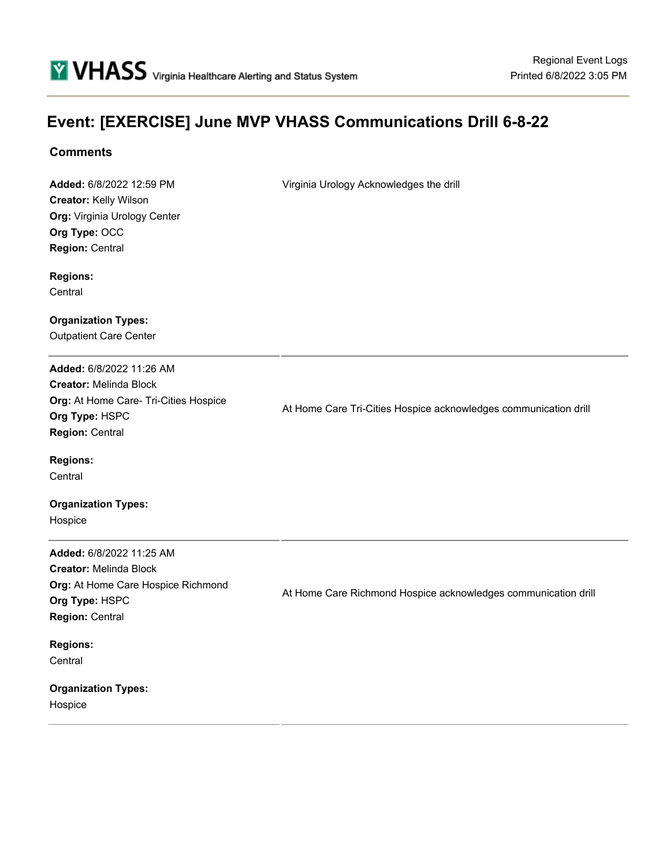# **Event: [EXERCISE] June MVP VHASS Communications Drill 6-8-22**

## **Comments**

**Added:** 6/8/2022 12:59 PM **Creator:** Kelly Wilson **Org:** Virginia Urology Center **Org Type:** OCC **Region:** Central

Virginia Urology Acknowledges the drill

**Regions:**

**Central** 

**Organization Types:** Outpatient Care Center

**Added:** 6/8/2022 11:26 AM **Creator:** Melinda Block **Org:** At Home Care- Tri-Cities Hospice **Org Type:** HSPC **Region:** Central

At Home Care Tri-Cities Hospice acknowledges communication drill

**Regions:**

**Central** 

**Organization Types:** Hospice

**Added:** 6/8/2022 11:25 AM **Creator:** Melinda Block **Org:** At Home Care Hospice Richmond **Org Type:** HSPC **Region:** Central

At Home Care Richmond Hospice acknowledges communication drill

**Regions: Central** 

**Organization Types:** Hospice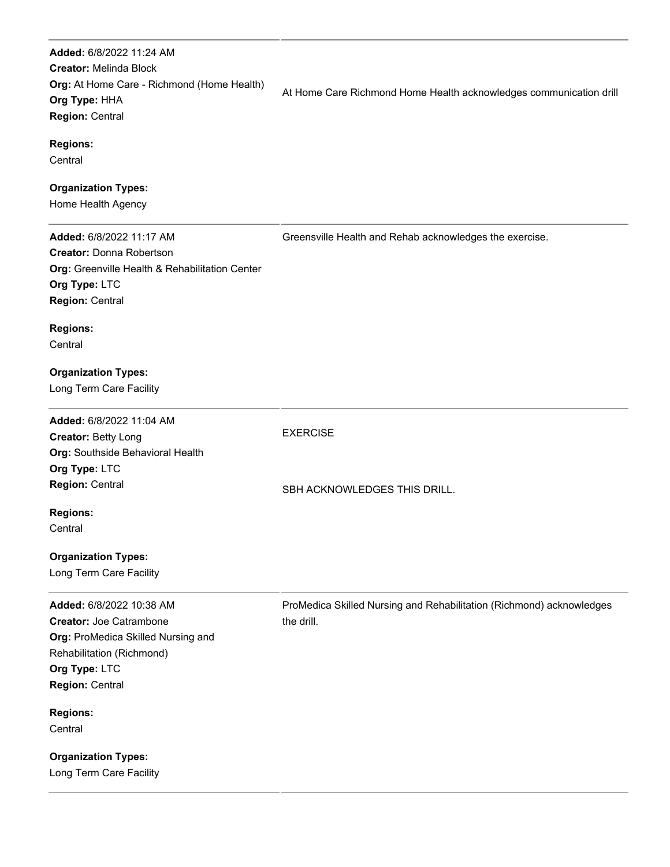**Added:** 6/8/2022 11:24 AM **Creator:** Melinda Block **Org:** At Home Care - Richmond (Home Health) **Org Type:** HHA **Region:** Central **Regions: Central Organization Types:** Home Health Agency At Home Care Richmond Home Health acknowledges communication drill **Added:** 6/8/2022 11:17 AM **Creator:** Donna Robertson **Org:** Greenville Health & Rehabilitation Center **Org Type:** LTC **Region:** Central **Regions: Central Organization Types:** Long Term Care Facility Greensville Health and Rehab acknowledges the exercise. **Added:** 6/8/2022 11:04 AM **Creator:** Betty Long **Org:** Southside Behavioral Health **Org Type:** LTC **Region:** Central **Regions: Central Organization Types:** Long Term Care Facility EXERCISE SBH ACKNOWLEDGES THIS DRILL. **Added:** 6/8/2022 10:38 AM **Creator:** Joe Catrambone **Org:** ProMedica Skilled Nursing and Rehabilitation (Richmond) **Org Type:** LTC **Region:** Central **Regions: Central Organization Types:** Long Term Care Facility ProMedica Skilled Nursing and Rehabilitation (Richmond) acknowledges the drill.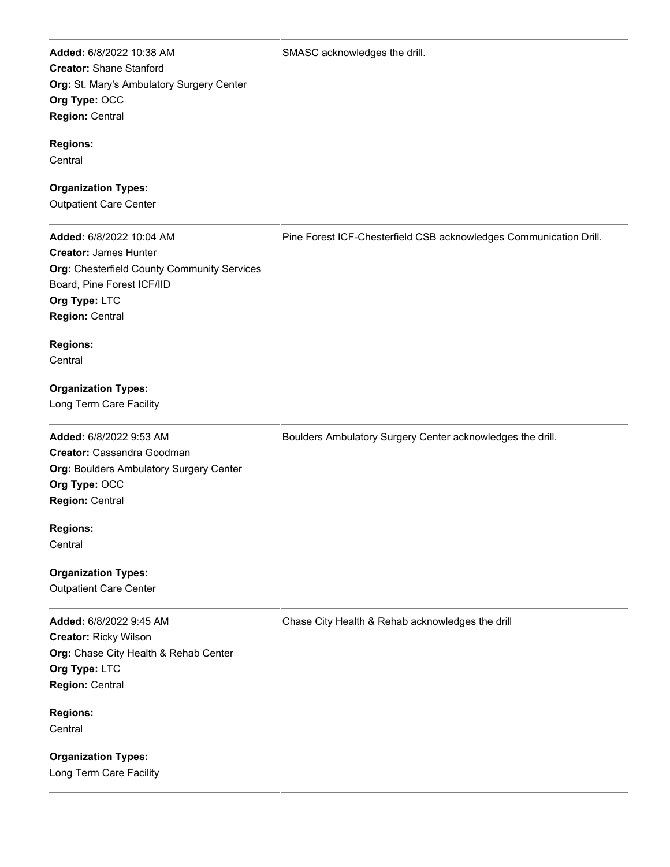SMASC acknowledges the drill.

**Added:** 6/8/2022 10:38 AM **Creator:** Shane Stanford **Org:** St. Mary's Ambulatory Surgery Center **Org Type:** OCC **Region:** Central

#### **Regions:**

**Central** 

## **Organization Types:**

Outpatient Care Center

**Added:** 6/8/2022 10:04 AM **Creator:** James Hunter **Org:** Chesterfield County Community Services Board, Pine Forest ICF/IID **Org Type:** LTC **Region:** Central

Pine Forest ICF-Chesterfield CSB acknowledges Communication Drill.

**Regions: Central** 

**Organization Types:**

Long Term Care Facility

**Added:** 6/8/2022 9:53 AM **Creator:** Cassandra Goodman **Org:** Boulders Ambulatory Surgery Center **Org Type:** OCC **Region:** Central

**Regions: Central** 

**Organization Types:** Outpatient Care Center

**Added:** 6/8/2022 9:45 AM **Creator:** Ricky Wilson **Org:** Chase City Health & Rehab Center **Org Type:** LTC **Region:** Central

**Regions: Central** 

**Organization Types:** Long Term Care Facility Boulders Ambulatory Surgery Center acknowledges the drill.

Chase City Health & Rehab acknowledges the drill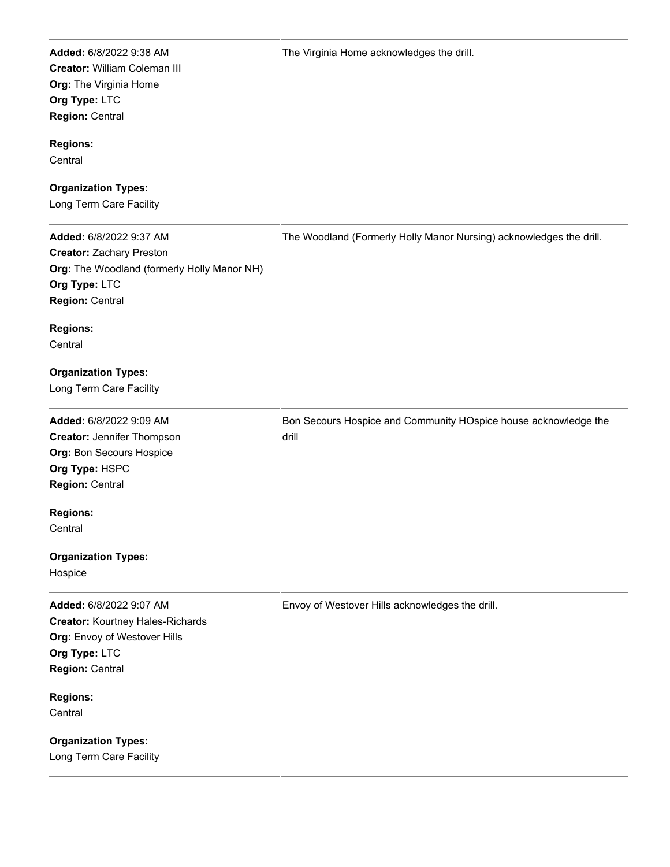**Added:** 6/8/2022 9:38 AM **Creator:** William Coleman III **Org:** The Virginia Home **Org Type:** LTC **Region:** Central

#### **Regions:**

**Central** 

## **Organization Types:**

Long Term Care Facility

**Added:** 6/8/2022 9:37 AM **Creator:** Zachary Preston **Org:** The Woodland (formerly Holly Manor NH) **Org Type:** LTC **Region:** Central **Regions: Central Organization Types:** Long Term Care Facility The Woodland (Formerly Holly Manor Nursing) acknowledges the drill. **Added:** 6/8/2022 9:09 AM **Creator:** Jennifer Thompson **Org:** Bon Secours Hospice **Org Type:** HSPC **Region:** Central **Regions: Central Organization Types:** Hospice Bon Secours Hospice and Community HOspice house acknowledge the drill **Added:** 6/8/2022 9:07 AM **Creator:** Kourtney Hales-Richards **Org:** Envoy of Westover Hills **Org Type:** LTC **Region:** Central **Regions: Central Organization Types:** Envoy of Westover Hills acknowledges the drill.

Long Term Care Facility

The Virginia Home acknowledges the drill.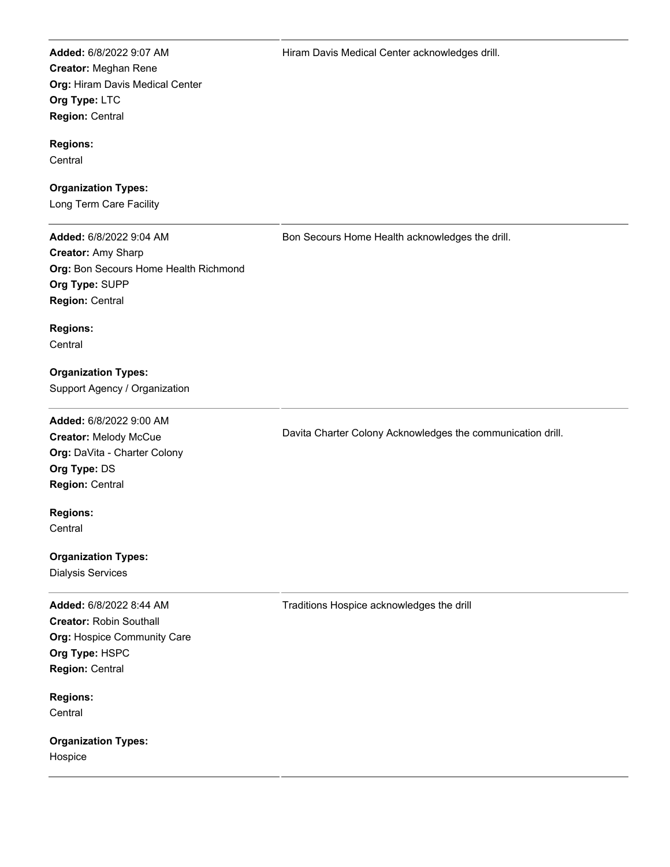**Added:** 6/8/2022 9:07 AM **Creator:** Meghan Rene **Org:** Hiram Davis Medical Center **Org Type:** LTC **Region:** Central

#### **Regions:**

**Central** 

## **Organization Types:**

Long Term Care Facility

**Added:** 6/8/2022 9:04 AM **Creator:** Amy Sharp **Org:** Bon Secours Home Health Richmond **Org Type:** SUPP **Region:** Central

Bon Secours Home Health acknowledges the drill.

Davita Charter Colony Acknowledges the communication drill.

**Regions:**

**Central** 

**Organization Types:** Support Agency / Organization

**Added:** 6/8/2022 9:00 AM **Creator:** Melody McCue **Org:** DaVita - Charter Colony **Org Type:** DS **Region:** Central

**Regions: Central** 

**Organization Types:**

Dialysis Services

**Added:** 6/8/2022 8:44 AM **Creator:** Robin Southall **Org:** Hospice Community Care **Org Type:** HSPC **Region:** Central

**Regions: Central** 

**Organization Types:** Hospice

Traditions Hospice acknowledges the drill

Hiram Davis Medical Center acknowledges drill.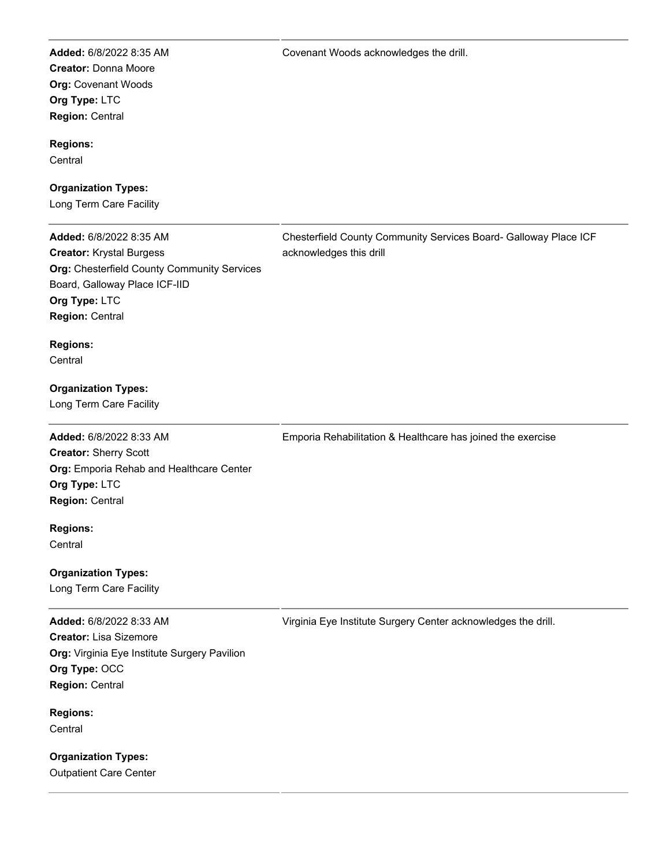**Added:** 6/8/2022 8:35 AM **Creator:** Donna Moore **Org:** Covenant Woods **Org Type:** LTC **Region:** Central

#### **Regions:**

**Central** 

## **Organization Types:**

Long Term Care Facility

**Added:** 6/8/2022 8:35 AM **Creator:** Krystal Burgess **Org:** Chesterfield County Community Services Board, Galloway Place ICF-IID **Org Type:** LTC **Region:** Central

Chesterfield County Community Services Board- Galloway Place ICF acknowledges this drill

**Regions: Central** 

**Organization Types:**

Long Term Care Facility

**Added:** 6/8/2022 8:33 AM **Creator:** Sherry Scott **Org:** Emporia Rehab and Healthcare Center **Org Type:** LTC **Region:** Central

**Regions: Central** 

**Organization Types:** Long Term Care Facility

**Added:** 6/8/2022 8:33 AM

**Creator:** Lisa Sizemore **Org:** Virginia Eye Institute Surgery Pavilion **Org Type:** OCC **Region:** Central

**Regions: Central** 

**Organization Types:** Outpatient Care Center Virginia Eye Institute Surgery Center acknowledges the drill.

Emporia Rehabilitation & Healthcare has joined the exercise

Covenant Woods acknowledges the drill.